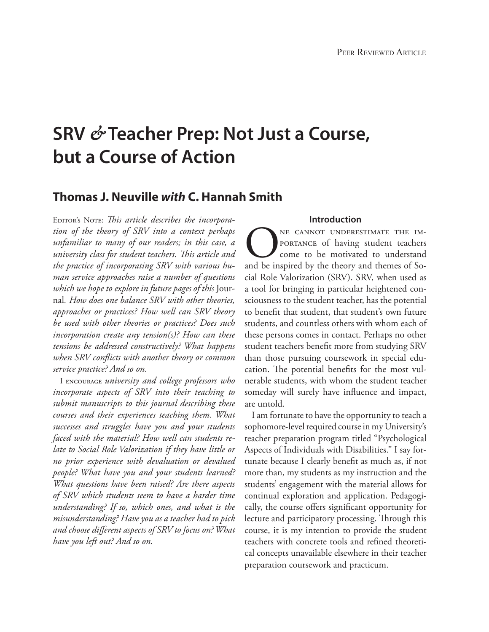# **SRV** *&* **Teacher Prep: Not Just a Course, but a Course of Action**

# **Thomas J. Neuville** *with* **C. Hannah Smith**

EDITOR'S NOTE: *This article describes the incorporation of the theory of SRV into a context perhaps unfamiliar to many of our readers; in this case, a university class for student teachers. This article and the practice of incorporating SRV with various human service approaches raise a number of questions which we hope to explore in future pages of this* Journal*. How does one balance SRV with other theories, approaches or practices? How well can SRV theory be used with other theories or practices? Does such incorporation create any tension(s)? How can these tensions be addressed constructively? What happens when SRV conflicts with another theory or common service practice? And so on.*

I encourage *university and college professors who incorporate aspects of SRV into their teaching to submit manuscripts to this journal describing these courses and their experiences teaching them. What successes and struggles have you and your students faced with the material? How well can students relate to Social Role Valorization if they have little or no prior experience with devaluation or devalued people? What have you and your students learned? What questions have been raised? Are there aspects of SRV which students seem to have a harder time understanding? If so, which ones, and what is the misunderstanding? Have you as a teacher had to pick and choose different aspects of SRV to focus on? What have you left out? And so on.* 

# **Introduction**

ONE CANNOT UNDERESTIMATE THE IMPORTANCE of having student teachers<br>come to be motivated to understand<br>and be inspired by the theory and themes of Soportance of having student teachers come to be motivated to understand cial Role Valorization (SRV). SRV, when used as a tool for bringing in particular heightened consciousness to the student teacher, has the potential to benefit that student, that student's own future students, and countless others with whom each of these persons comes in contact. Perhaps no other student teachers benefit more from studying SRV than those pursuing coursework in special education. The potential benefits for the most vulnerable students, with whom the student teacher someday will surely have influence and impact, are untold.

I am fortunate to have the opportunity to teach a sophomore-level required course in my University's teacher preparation program titled "Psychological Aspects of Individuals with Disabilities." I say fortunate because I clearly benefit as much as, if not more than, my students as my instruction and the students' engagement with the material allows for continual exploration and application. Pedagogically, the course offers significant opportunity for lecture and participatory processing. Through this course, it is my intention to provide the student teachers with concrete tools and refined theoretical concepts unavailable elsewhere in their teacher preparation coursework and practicum.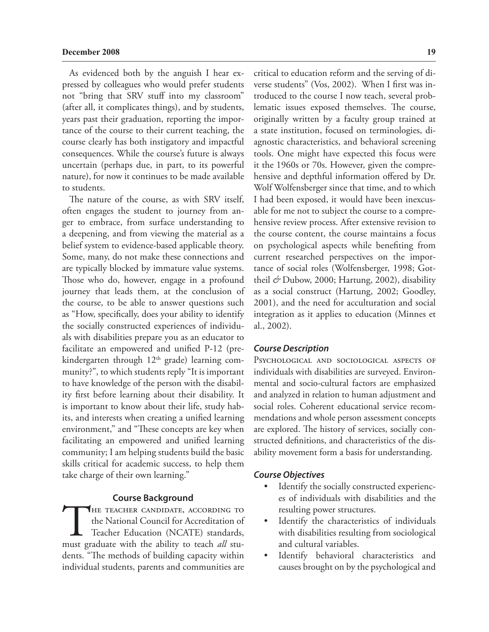As evidenced both by the anguish I hear expressed by colleagues who would prefer students not "bring that SRV stuff into my classroom" (after all, it complicates things), and by students, years past their graduation, reporting the importance of the course to their current teaching, the course clearly has both instigatory and impactful consequences. While the course's future is always uncertain (perhaps due, in part, to its powerful nature), for now it continues to be made available to students.

The nature of the course, as with SRV itself, often engages the student to journey from anger to embrace, from surface understanding to a deepening, and from viewing the material as a belief system to evidence-based applicable theory. Some, many, do not make these connections and are typically blocked by immature value systems. Those who do, however, engage in a profound journey that leads them, at the conclusion of the course, to be able to answer questions such as "How, specifically, does your ability to identify the socially constructed experiences of individuals with disabilities prepare you as an educator to facilitate an empowered and unified P-12 (prekindergarten through  $12<sup>th</sup>$  grade) learning community?", to which students reply "It is important to have knowledge of the person with the disability first before learning about their disability. It is important to know about their life, study habits, and interests when creating a unified learning environment," and "These concepts are key when facilitating an empowered and unified learning community; I am helping students build the basic skills critical for academic success, to help them take charge of their own learning."

### **Course Background**

THE TEACHER CANDIDATE, ACCORDING TO<br>the National Council for Accreditation of<br>Teacher Education (NCATE) standards,<br>must graduate with the ability to teach *all* stuthe National Council for Accreditation of Teacher Education (NCATE) standards, dents. "The methods of building capacity within individual students, parents and communities are

critical to education reform and the serving of diverse students" (Vos, 2002). When I first was introduced to the course I now teach, several problematic issues exposed themselves. The course, originally written by a faculty group trained at a state institution, focused on terminologies, diagnostic characteristics, and behavioral screening tools. One might have expected this focus were it the 1960s or 70s. However, given the comprehensive and depthful information offered by Dr. Wolf Wolfensberger since that time, and to which I had been exposed, it would have been inexcusable for me not to subject the course to a comprehensive review process. After extensive revision to the course content, the course maintains a focus on psychological aspects while benefiting from current researched perspectives on the importance of social roles (Wolfensberger, 1998; Gottheil *&* Dubow, 2000; Hartung, 2002), disability as a social construct (Hartung, 2002; Goodley, 2001), and the need for acculturation and social integration as it applies to education (Minnes et al., 2002).

### *Course Description*

Psychological and sociological aspects of individuals with disabilities are surveyed. Environmental and socio-cultural factors are emphasized and analyzed in relation to human adjustment and social roles. Coherent educational service recommendations and whole person assessment concepts are explored. The history of services, socially constructed definitions, and characteristics of the disability movement form a basis for understanding.

## *Course Objectives*

- • Identify the socially constructed experiences of individuals with disabilities and the resulting power structures.
- Identify the characteristics of individuals with disabilities resulting from sociological and cultural variables.
- • Identify behavioral characteristics and causes brought on by the psychological and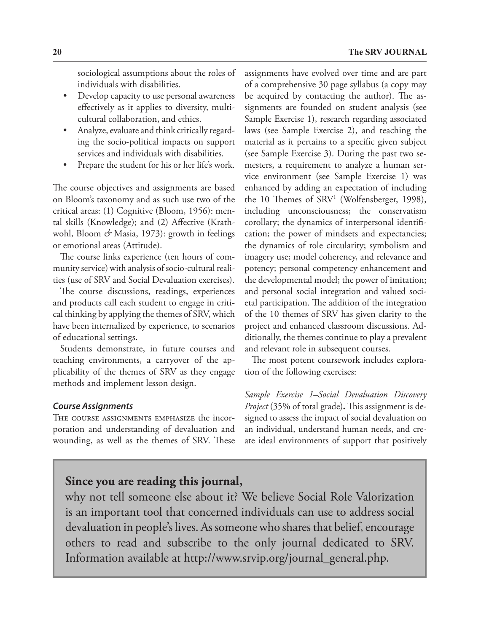sociological assumptions about the roles of individuals with disabilities.

- Develop capacity to use personal awareness effectively as it applies to diversity, multicultural collaboration, and ethics.
- Analyze, evaluate and think critically regarding the socio-political impacts on support services and individuals with disabilities.
- Prepare the student for his or her life's work.

The course objectives and assignments are based on Bloom's taxonomy and as such use two of the critical areas: (1) Cognitive (Bloom, 1956): mental skills (Knowledge); and (2) Affective (Krathwohl, Bloom & Masia, 1973): growth in feelings or emotional areas (Attitude).

The course links experience (ten hours of community service) with analysis of socio-cultural realities (use of SRV and Social Devaluation exercises).

The course discussions, readings, experiences and products call each student to engage in critical thinking by applying the themes of SRV, which have been internalized by experience, to scenarios of educational settings.

Students demonstrate, in future courses and teaching environments, a carryover of the applicability of the themes of SRV as they engage methods and implement lesson design.

# *Course Assignments*

The course assignments emphasize the incorporation and understanding of devaluation and wounding, as well as the themes of SRV. These assignments have evolved over time and are part of a comprehensive 30 page syllabus (a copy may be acquired by contacting the author). The assignments are founded on student analysis (see Sample Exercise 1), research regarding associated laws (see Sample Exercise 2), and teaching the material as it pertains to a specific given subject (see Sample Exercise 3). During the past two semesters, a requirement to analyze a human service environment (see Sample Exercise 1) was enhanced by adding an expectation of including the 10 Themes of SRV<sup>1</sup> (Wolfensberger, 1998), including unconsciousness; the conservatism corollary; the dynamics of interpersonal identification; the power of mindsets and expectancies; the dynamics of role circularity; symbolism and imagery use; model coherency, and relevance and potency; personal competency enhancement and the developmental model; the power of imitation; and personal social integration and valued societal participation. The addition of the integration of the 10 themes of SRV has given clarity to the project and enhanced classroom discussions. Additionally, the themes continue to play a prevalent and relevant role in subsequent courses.

The most potent coursework includes exploration of the following exercises:

*Sample Exercise 1–Social Devaluation Discovery Project* (35% of total grade)**.** This assignment is designed to assess the impact of social devaluation on an individual, understand human needs, and create ideal environments of support that positively

# **Since you are reading this journal,**

why not tell someone else about it? We believe Social Role Valorization is an important tool that concerned individuals can use to address social devaluation in people's lives. As someone who shares that belief, encourage others to read and subscribe to the only journal dedicated to SRV. Information available at http://www.srvip.org/journal\_general.php.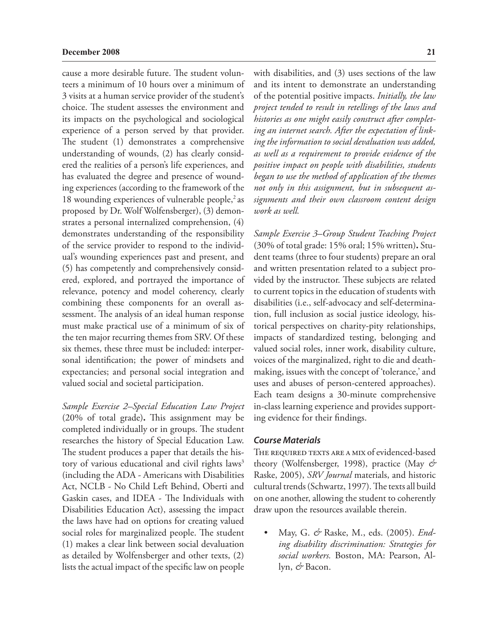cause a more desirable future. The student volunteers a minimum of 10 hours over a minimum of 3 visits at a human service provider of the student's choice. The student assesses the environment and its impacts on the psychological and sociological experience of a person served by that provider. The student (1) demonstrates a comprehensive understanding of wounds, (2) has clearly considered the realities of a person's life experiences, and has evaluated the degree and presence of wounding experiences (according to the framework of the 18 wounding experiences of vulnerable people, $\frac{2}{3}$  as proposed by Dr. Wolf Wolfensberger), (3) demonstrates a personal internalized comprehension, (4) demonstrates understanding of the responsibility of the service provider to respond to the individual's wounding experiences past and present, and (5) has competently and comprehensively considered, explored, and portrayed the importance of relevance, potency and model coherency, clearly combining these components for an overall assessment. The analysis of an ideal human response must make practical use of a minimum of six of the ten major recurring themes from SRV. Of these six themes, these three must be included: interpersonal identification; the power of mindsets and expectancies; and personal social integration and valued social and societal participation.

*Sample Exercise 2–Special Education Law Project*  (20% of total grade)**.** This assignment may be completed individually or in groups. The student researches the history of Special Education Law. The student produces a paper that details the history of various educational and civil rights laws<sup>3</sup> (including the ADA - Americans with Disabilities Act, NCLB - No Child Left Behind, Oberti and Gaskin cases, and IDEA - The Individuals with Disabilities Education Act), assessing the impact the laws have had on options for creating valued social roles for marginalized people. The student (1) makes a clear link between social devaluation as detailed by Wolfensberger and other texts, (2) lists the actual impact of the specific law on people

with disabilities, and (3) uses sections of the law and its intent to demonstrate an understanding of the potential positive impacts. *Initially, the law project tended to result in retellings of the laws and histories as one might easily construct after completing an internet search. After the expectation of linking the information to social devaluation was added, as well as a requirement to provide evidence of the positive impact on people with disabilities, students began to use the method of application of the themes not only in this assignment, but in subsequent assignments and their own classroom content design work as well.*

*Sample Exercise 3–Group Student Teaching Project*  (30% of total grade: 15% oral; 15% written)**.** Student teams (three to four students) prepare an oral and written presentation related to a subject provided by the instructor. These subjects are related to current topics in the education of students with disabilities (i.e., self-advocacy and self-determination, full inclusion as social justice ideology, historical perspectives on charity-pity relationships, impacts of standardized testing, belonging and valued social roles, inner work, disability culture, voices of the marginalized, right to die and deathmaking, issues with the concept of 'tolerance,' and uses and abuses of person-centered approaches). Each team designs a 30-minute comprehensive in-class learning experience and provides supporting evidence for their findings.

### *Course Materials*

THE REQUIRED TEXTS ARE A MIX of evidenced-based theory (Wolfensberger, 1998), practice (May *&* Raske, 2005), *SRV Journal* materials, and historic cultural trends (Schwartz, 1997). The texts all build on one another, allowing the student to coherently draw upon the resources available therein.

• May, G. & Raske, M., eds. (2005). *Ending disability discrimination: Strategies for social workers.* Boston, MA: Pearson, Allyn, *&* Bacon.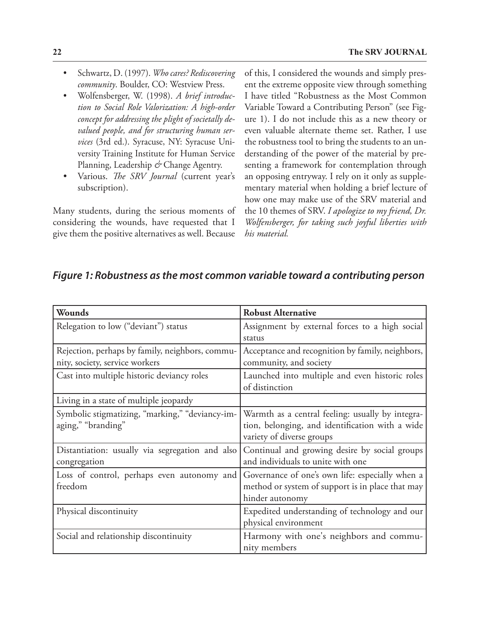- • Schwartz, D. (1997). *Who cares? Rediscovering community*. Boulder, CO: Westview Press.
- • Wolfensberger, W. (1998). *A brief introduction to Social Role Valorization: A high-order concept for addressing the plight of societally devalued people, and for structuring human services* (3rd ed.). Syracuse, NY: Syracuse University Training Institute for Human Service Planning, Leadership *&* Change Agentry.
- Various. The SRV Journal (current year's subscription).

Many students, during the serious moments of considering the wounds, have requested that I give them the positive alternatives as well. Because of this, I considered the wounds and simply present the extreme opposite view through something I have titled "Robustness as the Most Common Variable Toward a Contributing Person" (see Figure 1). I do not include this as a new theory or even valuable alternate theme set. Rather, I use the robustness tool to bring the students to an understanding of the power of the material by presenting a framework for contemplation through an opposing entryway. I rely on it only as supplementary material when holding a brief lecture of how one may make use of the SRV material and the 10 themes of SRV. *I apologize to my friend, Dr. Wolfensberger, for taking such joyful liberties with his material.*

# *Figure 1: Robustness as the most common variable toward a contributing person*

| Wounds                                                                            | <b>Robust Alternative</b>                                                                                                        |
|-----------------------------------------------------------------------------------|----------------------------------------------------------------------------------------------------------------------------------|
| Relegation to low ("deviant") status                                              | Assignment by external forces to a high social<br>status                                                                         |
| Rejection, perhaps by family, neighbors, commu-<br>nity, society, service workers | Acceptance and recognition by family, neighbors,<br>community, and society                                                       |
| Cast into multiple historic deviancy roles                                        | Launched into multiple and even historic roles<br>of distinction                                                                 |
| Living in a state of multiple jeopardy                                            |                                                                                                                                  |
| Symbolic stigmatizing, "marking," "deviancy-im-<br>aging," "branding"             | Warmth as a central feeling: usually by integra-<br>tion, belonging, and identification with a wide<br>variety of diverse groups |
| Distantiation: usually via segregation and also<br>congregation                   | Continual and growing desire by social groups<br>and individuals to unite with one                                               |
| Loss of control, perhaps even autonomy and<br>freedom                             | Governance of one's own life: especially when a<br>method or system of support is in place that may<br>hinder autonomy           |
| Physical discontinuity                                                            | Expedited understanding of technology and our<br>physical environment                                                            |
| Social and relationship discontinuity                                             | Harmony with one's neighbors and commu-<br>nity members                                                                          |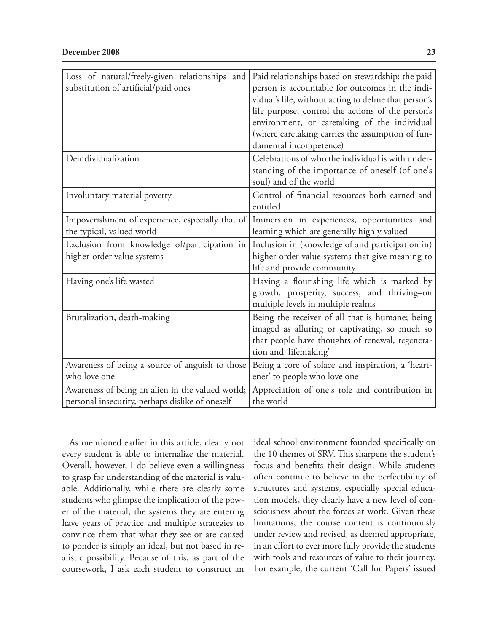| Loss of natural/freely-given relationships and<br>substitution of artificial/paid ones              | Paid relationships based on stewardship: the paid<br>person is accountable for outcomes in the indi-<br>vidual's life, without acting to define that person's<br>life purpose, control the actions of the person's<br>environment, or caretaking of the individual<br>(where caretaking carries the assumption of fun-<br>damental incompetence) |
|-----------------------------------------------------------------------------------------------------|--------------------------------------------------------------------------------------------------------------------------------------------------------------------------------------------------------------------------------------------------------------------------------------------------------------------------------------------------|
| Deindividualization                                                                                 | Celebrations of who the individual is with under-<br>standing of the importance of oneself (of one's<br>soul) and of the world                                                                                                                                                                                                                   |
| Involuntary material poverty                                                                        | Control of financial resources both earned and<br>entitled                                                                                                                                                                                                                                                                                       |
| Impoverishment of experience, especially that of<br>the typical, valued world                       | Immersion in experiences, opportunities and<br>learning which are generally highly valued                                                                                                                                                                                                                                                        |
| Exclusion from knowledge of/participation in<br>higher-order value systems                          | Inclusion in (knowledge of and participation in)<br>higher-order value systems that give meaning to<br>life and provide community                                                                                                                                                                                                                |
| Having one's life wasted                                                                            | Having a flourishing life which is marked by<br>growth, prosperity, success, and thriving-on<br>multiple levels in multiple realms                                                                                                                                                                                                               |
| Brutalization, death-making                                                                         | Being the receiver of all that is humane; being<br>imaged as alluring or captivating, so much so<br>that people have thoughts of renewal, regenera-<br>tion and 'lifemaking'                                                                                                                                                                     |
| Awareness of being a source of anguish to those<br>who love one                                     | Being a core of solace and inspiration, a 'heart-<br>ener' to people who love one                                                                                                                                                                                                                                                                |
| Awareness of being an alien in the valued world;<br>personal insecurity, perhaps dislike of oneself | Appreciation of one's role and contribution in<br>the world                                                                                                                                                                                                                                                                                      |

As mentioned earlier in this article, clearly not every student is able to internalize the material. Overall, however, I do believe even a willingness to grasp for understanding of the material is valuable. Additionally, while there are clearly some students who glimpse the implication of the power of the material, the systems they are entering have years of practice and multiple strategies to convince them that what they see or are caused to ponder is simply an ideal, but not based in realistic possibility. Because of this, as part of the coursework, I ask each student to construct an ideal school environment founded specifically on the 10 themes of SRV. This sharpens the student's focus and benefits their design. While students often continue to believe in the perfectibility of structures and systems, especially special education models, they clearly have a new level of consciousness about the forces at work. Given these limitations, the course content is continuously under review and revised, as deemed appropriate, in an effort to ever more fully provide the students with tools and resources of value to their journey. For example, the current 'Call for Papers' issued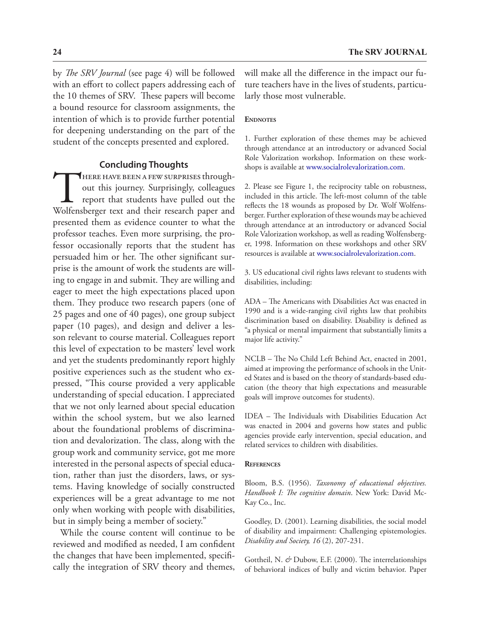by *The SRV Journal* (see page 4) will be followed with an effort to collect papers addressing each of the 10 themes of SRV. These papers will become a bound resource for classroom assignments, the intention of which is to provide further potential for deepening understanding on the part of the student of the concepts presented and explored.

### **Concluding Thoughts**

THERE HAVE BEEN A FEW SURPRISES through-<br>out this journey. Surprisingly, colleagues<br>report that students have pulled out the<br>Wolfensberger text and their research paper and out this journey. Surprisingly, colleagues report that students have pulled out the Wolfensberger text and their research paper and presented them as evidence counter to what the professor teaches. Even more surprising, the professor occasionally reports that the student has persuaded him or her. The other significant surprise is the amount of work the students are willing to engage in and submit. They are willing and eager to meet the high expectations placed upon them. They produce two research papers (one of 25 pages and one of 40 pages), one group subject paper (10 pages), and design and deliver a lesson relevant to course material. Colleagues report this level of expectation to be masters' level work and yet the students predominantly report highly positive experiences such as the student who expressed, "This course provided a very applicable understanding of special education. I appreciated that we not only learned about special education within the school system, but we also learned about the foundational problems of discrimination and devalorization. The class, along with the group work and community service, got me more interested in the personal aspects of special education, rather than just the disorders, laws, or systems. Having knowledge of socially constructed experiences will be a great advantage to me not only when working with people with disabilities, but in simply being a member of society."

While the course content will continue to be reviewed and modified as needed, I am confident the changes that have been implemented, specifically the integration of SRV theory and themes, will make all the difference in the impact our future teachers have in the lives of students, particularly those most vulnerable.

#### **ENDNOTES**

1. Further exploration of these themes may be achieved through attendance at an introductory or advanced Social Role Valorization workshop. Information on these workshops is available at www.socialrolevalorization.com.

2. Please see Figure 1, the reciprocity table on robustness, included in this article. The left-most column of the table reflects the 18 wounds as proposed by Dr. Wolf Wolfensberger. Further exploration of these wounds may be achieved through attendance at an introductory or advanced Social Role Valorization workshop, as well as reading Wolfensberger, 1998. Information on these workshops and other SRV resources is available at www.socialrolevalorization.com.

3. US educational civil rights laws relevant to students with disabilities, including:

ADA – The Americans with Disabilities Act was enacted in 1990 and is a wide-ranging civil rights law that prohibits discrimination based on disability. Disability is defined as "a physical or mental impairment that substantially limits a major life activity."

NCLB – The No Child Left Behind Act, enacted in 2001, aimed at improving the performance of schools in the United States and is based on the theory of standards-based education (the theory that high expectations and measurable goals will improve outcomes for students).

IDEA – The Individuals with Disabilities Education Act was enacted in 2004 and governs how states and public agencies provide early intervention, special education, and related services to children with disabilities.

#### **References**

Bloom, B.S. (1956). *Taxonomy of educational objectives. Handbook I: The cognitive domain*. New York: David Mc-Kay Co., Inc.

Goodley, D. (2001). Learning disabilities, the social model of disability and impairment: Challenging epistemologies. *Disability and Society, 16* (2), 207-231.

Gottheil, N. & Dubow, E.F. (2000). The interrelationships of behavioral indices of bully and victim behavior. Paper